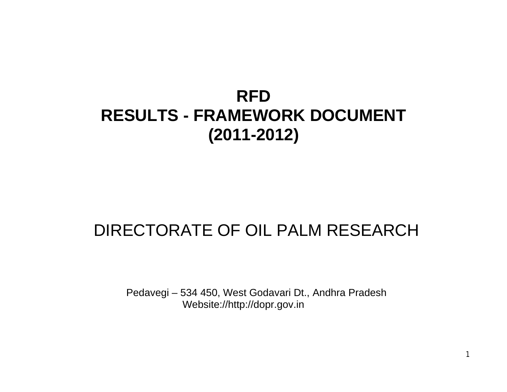# RFD RESULTS - FRAMEWORK DOCUMENT (2011-2012)

## DIRECTORATE OF OIL PALM RESEARCH

Pedavegi €534 450, West Godavari Dt., Andhra Pradesh Website:/[/http://dopr.gov.in](http://dopr.gov.in)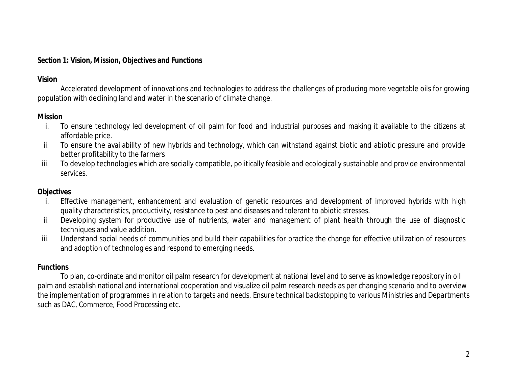#### **Section 1: Vision, Mission, Objectives and Functions**

## **Vision**

Accelerated development of innovations and technologies to address the challenges of producing more vegetable oils for growing population with declining land and water in the scenario of climate change.

## **Mission**

- i. To ensure technology led development of oil palm for food and industrial purposes and making it available to the citizens at affordable price.
- ii. To ensure the availability of new hybrids and technology, which can withstand against biotic and abiotic pressure and provide better profitability to the farmers
- iii. To develop technologies which are socially compatible, politically feasible and ecologically sustainable and provide environmental services.

## **Objectives**

- i. Effective management, enhancement and evaluation of genetic resources and development of improved hybrids with high quality characteristics, productivity, resistance to pest and diseases and tolerant to abiotic stresses.
- ii. Developing system for productive use of nutrients, water and management of plant health through the use of diagnostic techniques and value addition.
- iii. Understand social needs of communities and build their capabilities for practice the change for effective utilization of resources and adoption of technologies and respond to emerging needs.

## **Functions**

To plan, co-ordinate and monitor oil palm research for development at national level and to serve as knowledge repository in oil palm and establish national and international cooperation and visualize oil palm research needs as per changing scenario and to overview the implementation of programmes in relation to targets and needs. Ensure technical backstopping to various Ministries and Departments such as DAC, Commerce, Food Processing etc.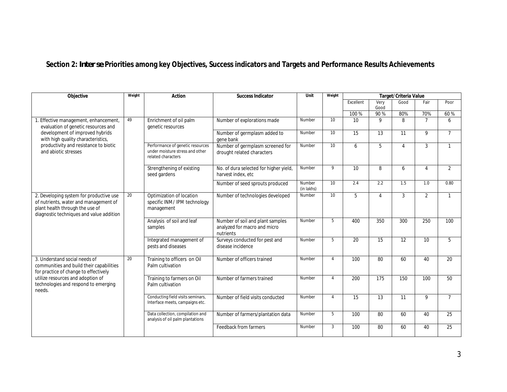## **Section 2:** *Inter se* **Priorities among key Objectives, Success indicators and Targets and Performance Results Achievements**

| Objective                                                                                                                                                       | Weight | Action                                                                                    | Success Indicator                                                             | Unit                 | Weight          | Target/Criteria Value |                  |                 |                 |                 |
|-----------------------------------------------------------------------------------------------------------------------------------------------------------------|--------|-------------------------------------------------------------------------------------------|-------------------------------------------------------------------------------|----------------------|-----------------|-----------------------|------------------|-----------------|-----------------|-----------------|
|                                                                                                                                                                 |        |                                                                                           |                                                                               |                      |                 | Excellent             | Very             | Good            | Fair            | Poor            |
|                                                                                                                                                                 |        |                                                                                           |                                                                               |                      |                 |                       | Good             |                 |                 |                 |
|                                                                                                                                                                 |        |                                                                                           |                                                                               |                      |                 | 100 %                 | 90%              | 80%             | 70%             | 60%             |
| 1. Effective management, enhancement,<br>evaluation of genetic resources and                                                                                    | 49     | Enrichment of oil palm<br>genetic resources                                               | Number of explorations made                                                   | Number               | 10              | 10 <sup>1</sup>       | 9                | 8               | $\overline{7}$  | 6               |
| development of improved hybrids<br>with high quality characteristics,                                                                                           |        |                                                                                           | Number of germplasm added to<br>gene bank                                     | Number               | 10              | 15                    | 13               | 11              | 9               | $\overline{7}$  |
| productivity and resistance to biotic<br>and abiotic stresses                                                                                                   |        | Performance of genetic resources<br>under moisture stress and other<br>related characters | Number of germplasm screened for<br>drought related characters                | Number               | $\overline{10}$ | 6                     | 5                | $\overline{4}$  | 3               | $\mathbf{1}$    |
|                                                                                                                                                                 |        | Strengthening of existing<br>seed gardens                                                 | No. of dura selected for higher yield,<br>harvest index, etc                  | Number               | 9               | 10                    | 8                | 6               | $\overline{4}$  | $\overline{2}$  |
|                                                                                                                                                                 |        |                                                                                           | Number of seed sprouts produced                                               | Number<br>(in lakhs) | 10              | 2.4                   | 2.2              | 1.5             | 1.0             | 0.80            |
| 2. Developing system for productive use<br>of nutrients, water and management of<br>plant health through the use of<br>diagnostic techniques and value addition | 20     | Optimization of location<br>specific INM/ IPM technology<br>management                    | Number of technologies developed                                              | Number               | 10              | 5                     | $\overline{4}$   | 3               | $\overline{2}$  | $\mathbf{1}$    |
|                                                                                                                                                                 |        | Analysis of soil and leaf<br>samples                                                      | Number of soil and plant samples<br>analyzed for macro and micro<br>nutrients | Number               | 5               | 400                   | 350              | 300             | 250             | 100             |
|                                                                                                                                                                 |        | Integrated management of<br>pests and diseases                                            | Surveys conducted for pest and<br>disease incidence                           | Number               | 5               | 20                    | 15               | 12              | 10 <sup>1</sup> | 5               |
| 3. Understand social needs of<br>communities and build their capabilities<br>for practice of change to effectively                                              | 20     | Training to officers on Oil<br>Palm cultivation                                           | Number of officers trained                                                    | Number               | $\overline{4}$  | 100                   | 80               | 60              | 40              | 20              |
| utilize resources and adoption of<br>technologies and respond to emerging<br>needs.                                                                             |        | Training to farmers on Oil<br>Palm cultivation                                            | Number of farmers trained                                                     | Number               | $\overline{4}$  | 200                   | $\overline{175}$ | 150             | 100             | 50              |
|                                                                                                                                                                 |        | Conducting field visits seminars,<br>Interface meets, campaigns etc.                      | Number of field visits conducted                                              | Number               | $\overline{4}$  | 15                    | $\overline{13}$  | $\overline{11}$ | 9               | $\overline{7}$  |
|                                                                                                                                                                 |        | Data collection, compilation and<br>analysis of oil palm plantations                      | Number of farmers/plantation data                                             | Number               | 5               | 100                   | 80               | 60              | 40              | $\overline{25}$ |
|                                                                                                                                                                 |        |                                                                                           | Feedback from farmers                                                         | Number               | $\mathbf{3}$    | 100                   | 80               | 60              | 40              | 25              |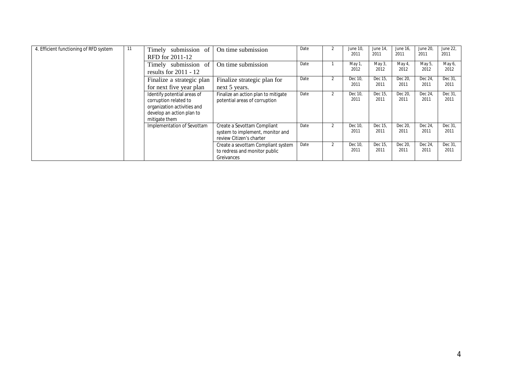| 4. Efficient functioning of RFD system | 11 | Timely submission of<br>RFD for 2011-12                                                                                           | On time submission                                                                          | Date | $\mathfrak{p}$ | June 10,<br>2011 | June 14,<br>2011 | June 16,<br>2011 | June 20,<br>2011 | June 22,<br>2011 |
|----------------------------------------|----|-----------------------------------------------------------------------------------------------------------------------------------|---------------------------------------------------------------------------------------------|------|----------------|------------------|------------------|------------------|------------------|------------------|
|                                        |    | Timely submission of<br>results for $2011 - 12$                                                                                   | On time submission                                                                          | Date |                | May 1,<br>2012   | May 3,<br>2012   | May 4,<br>2012   | May 5,<br>2012   | May 6,<br>2012   |
|                                        |    | Finalize a strategic plan<br>for next five year plan                                                                              | Finalize strategic plan for<br>next 5 years.                                                | Date | $\mathfrak{p}$ | Dec 10,<br>2011  | Dec 15,<br>2011  | Dec 20,<br>2011  | Dec 24,<br>2011  | Dec 31<br>2011   |
|                                        |    | Identify potential areas of<br>corruption related to<br>organization activities and<br>develop an action plan to<br>mitigate them | Finalize an action plan to mitigate<br>potential areas of corruption                        | Date | $\mathfrak{p}$ | Dec 10,<br>2011  | Dec 15,<br>2011  | Dec 20,<br>2011  | Dec 24<br>2011   | Dec 31<br>2011   |
|                                        |    | Implementation of Sevottam                                                                                                        | Create a Sevottam Compliant<br>system to implement, monitor and<br>review Citizen's charter | Date | 2              | Dec 10.<br>2011  | Dec 15.<br>2011  | Dec 20.<br>2011  | Dec 24<br>2011   | Dec 31<br>2011   |
|                                        |    |                                                                                                                                   | Create a sevottam Compliant system<br>to redress and monitor public<br>Greivances           | Date | 2              | Dec 10,<br>2011  | Dec 15,<br>2011  | Dec 20,<br>2011  | Dec 24,<br>2011  | Dec 31,<br>2011  |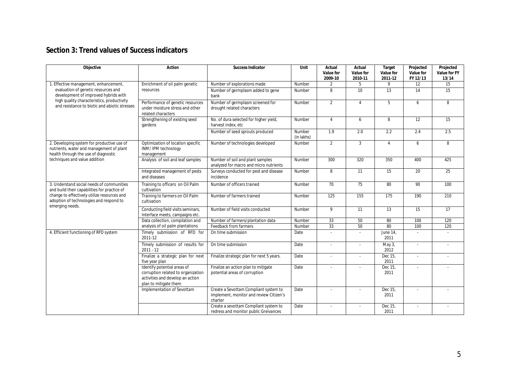## **Section 3: Trend values of Success indicators**

| Objective                                                                                                                      | Action                                                                                                                         | Success Indicator                                                                           | Unit                         | Actual<br>Value for<br>2009-10 | Actual<br>Value for<br>2010-11 | Target<br>Value for<br>2011-12 | Projected<br>Value for<br>FY 12/13 | Projected<br>Value for FY<br>13/14 |
|--------------------------------------------------------------------------------------------------------------------------------|--------------------------------------------------------------------------------------------------------------------------------|---------------------------------------------------------------------------------------------|------------------------------|--------------------------------|--------------------------------|--------------------------------|------------------------------------|------------------------------------|
| 1. Effective management, enhancement,                                                                                          | Enrichment of oil palm genetic                                                                                                 | Number of explorations made                                                                 | Number                       | $\overline{2}$                 | 5                              | 9                              | 12                                 | 15                                 |
| evaluation of genetic resources and<br>development of improved hybrids with                                                    | resources                                                                                                                      | Number of germplasm added to gene<br>bank                                                   | Number                       | 8                              | 10 <sup>1</sup>                | 13                             | 14                                 | $\overline{15}$                    |
| high quality characteristics, productivity<br>and resistance to biotic and abiotic stresses                                    | Performance of genetic resources<br>under moisture stress and other<br>related characters                                      | Number of germplasm screened for<br>drought related characters                              | Number                       | $\overline{2}$                 | $\overline{4}$                 | 5                              | 6                                  | 8                                  |
|                                                                                                                                | Strengthening of existing seed<br>gardens                                                                                      | No. of dura selected for higher yield,<br>harvest index, etc                                | Number                       | $\overline{4}$                 | 6                              | 8                              | $\overline{12}$                    | $\overline{15}$                    |
|                                                                                                                                |                                                                                                                                | Number of seed sprouts produced                                                             | Number<br>(in lakhs)         | 1.9                            | 2.0                            | 2.2                            | 2.4                                | 2.5                                |
| 2. Developing system for productive use of<br>nutrients, water and management of plant<br>health through the use of diagnostic | Optimization of location specific<br>INM/IPM technology<br>management                                                          | Number of technologies developed                                                            | Number                       | $\overline{2}$                 | 3                              | $\overline{4}$                 | 6                                  | 8                                  |
| techniques and value addition                                                                                                  | Analysis of soil and leaf samples                                                                                              | Number of soil and plant samples<br>analyzed for macro and micro nutrients                  | Number                       | 300                            | 320                            | 350                            | 400                                | 425                                |
|                                                                                                                                | Integrated management of pests<br>and diseases                                                                                 | Surveys conducted for pest and disease<br>incidence                                         | Number                       | 8                              | 11                             | 15                             | 20                                 | 25                                 |
| 3. Understand social needs of communities<br>and build their capabilities for practice of                                      | Training to officers on Oil Palm<br>cultivation                                                                                | Number of officers trained                                                                  | $\overline{\mathsf{Number}}$ | 70                             | 75                             | 80                             | 90                                 | 100                                |
| change to effectively utilize resources and<br>adoption of technologies and respond to<br>emerging needs.                      | Training to farmers on Oil Palm<br>cultivation                                                                                 | Number of farmers trained                                                                   | Number                       | 125                            | 155                            | 175                            | 190                                | 210                                |
|                                                                                                                                | Conducting field visits seminars,<br>Interface meets, campaigns etc.                                                           | Number of field visits conducted                                                            | Number                       | 9                              | 11                             | 13                             | 15                                 | $\overline{17}$                    |
|                                                                                                                                | Data collection, compilation and                                                                                               | Number of farmers/plantation data                                                           | Number                       | 33                             | 50                             | 80                             | 100                                | 120                                |
|                                                                                                                                | analysis of oil palm plantations                                                                                               | Feedback from farmers                                                                       | Number                       | 33                             | 50                             | 80                             | 100                                | 120                                |
| 4. Efficient functioning of RFD system                                                                                         | Timely submission of RFD for<br>2011-12                                                                                        | On time submission                                                                          | Date                         | $\overline{\phantom{a}}$       | ÷                              | June 14,<br>2011               | $\overline{a}$                     |                                    |
|                                                                                                                                | Timely submission of results for<br>$2011 - 12$                                                                                | On time submission                                                                          | Date                         |                                |                                | May 3,<br>2012                 |                                    |                                    |
|                                                                                                                                | Finalize a strategic plan for next<br>five year plan                                                                           | Finalize strategic plan for next 5 years.                                                   | Date                         | $\overline{a}$                 |                                | Dec 15,<br>2011                | $\overline{a}$                     |                                    |
|                                                                                                                                | Identify potential areas of<br>corruption related to organization<br>activities and develop an action<br>plan to mitigate them | Finalize an action plan to mitigate<br>potential areas of corruption                        | Date                         | $\overline{a}$                 |                                | Dec 15,<br>2011                | $\overline{a}$                     |                                    |
|                                                                                                                                | Implementation of Sevottam                                                                                                     | Create a Sevottam Compliant system to<br>implement, monitor and review Citizen's<br>charter | Date                         | $\overline{a}$                 |                                | Dec 15,<br>2011                | ÷,                                 |                                    |
|                                                                                                                                |                                                                                                                                | Create a sevottam Compliant system to<br>redress and monitor public Greivances              | Date                         | $\sim$                         | $\overline{\phantom{a}}$       | Dec 15,<br>2011                | $\overline{a}$                     |                                    |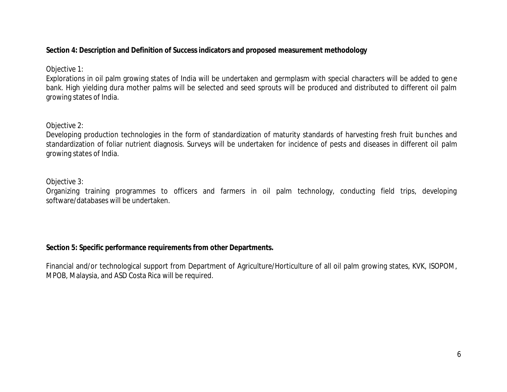## **Section 4: Description and Definition of Success indicators and proposed measurement methodology**

## Objective 1:

Explorations in oil palm growing states of India will be undertaken and germplasm with special characters will be added to gene bank. High yielding dura mother palms will be selected and seed sprouts will be produced and distributed to different oil palm growing states of India.

## Objective 2:

Developing production technologies in the form of standardization of maturity standards of harvesting fresh fruit bunches and standardization of foliar nutrient diagnosis. Surveys will be undertaken for incidence of pests and diseases in different oil palm growing states of India.

## Objective 3:

Organizing training programmes to officers and farmers in oil palm technology, conducting field trips, developing software/databases will be undertaken.

**Section 5: Specific performance requirements from other Departments.**

Financial and/or technological support from Department of Agriculture/Horticulture of all oil palm growing states, KVK, ISOPOM, MPOB, Malaysia, and ASD Costa Rica will be required.